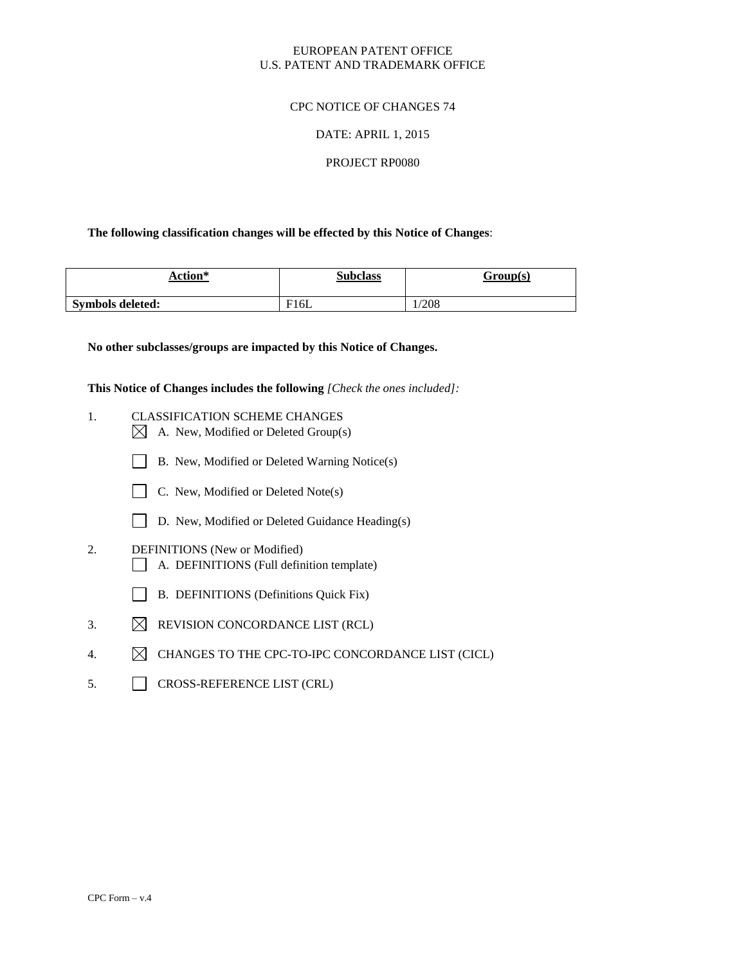## EUROPEAN PATENT OFFICE U.S. PATENT AND TRADEMARK OFFICE

## CPC NOTICE OF CHANGES 74

### DATE: APRIL 1, 2015

### PROJECT RP0080

## **The following classification changes will be effected by this Notice of Changes**:

| <b>Action*</b>          | <b>Subclass</b>  | Group(s) |
|-------------------------|------------------|----------|
| <b>Symbols deleted:</b> | <sup>-</sup> 16L | 1/208    |

**No other subclasses/groups are impacted by this Notice of Changes.**

**This Notice of Changes includes the following** *[Check the ones included]:*

- 1. CLASSIFICATION SCHEME CHANGES  $\boxtimes$  A. New, Modified or Deleted Group(s)
	- B. New, Modified or Deleted Warning Notice(s)



- D. New, Modified or Deleted Guidance Heading(s)
- 2. DEFINITIONS (New or Modified) A. DEFINITIONS (Full definition template)
	- B. DEFINITIONS (Definitions Quick Fix)
- 3.  $\boxtimes$  REVISION CONCORDANCE LIST (RCL)
- 4.  $\boxtimes$  CHANGES TO THE CPC-TO-IPC CONCORDANCE LIST (CICL)
- 5. CROSS-REFERENCE LIST (CRL)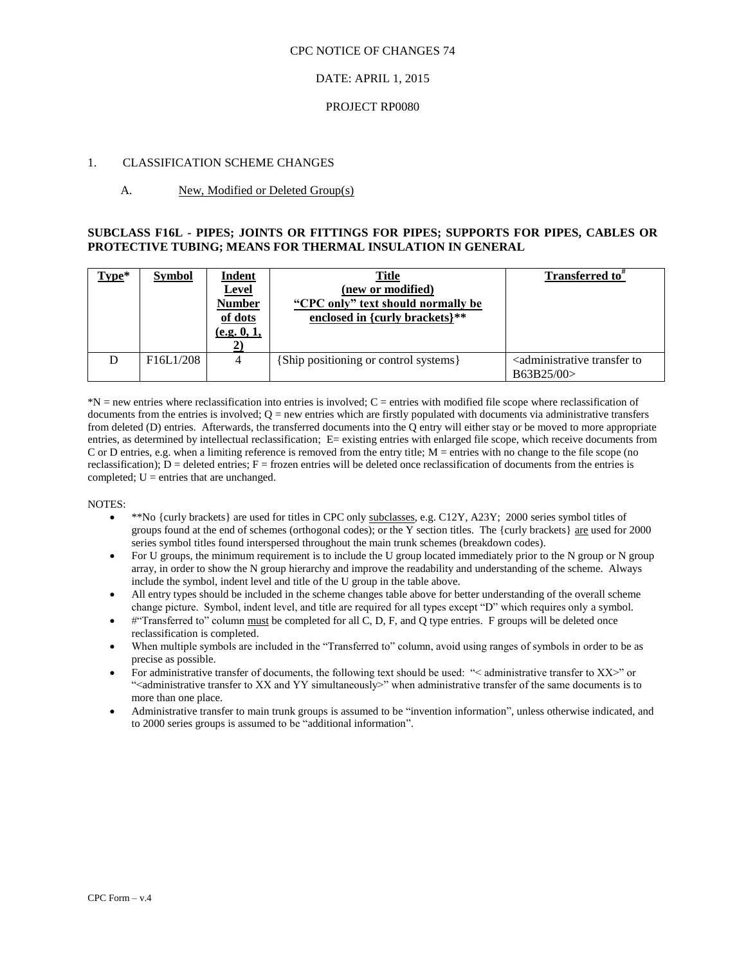#### CPC NOTICE OF CHANGES 74

#### DATE: APRIL 1, 2015

#### PROJECT RP0080

#### 1. CLASSIFICATION SCHEME CHANGES

### A. New, Modified or Deleted Group(s)

### **SUBCLASS F16L - PIPES; JOINTS OR FITTINGS FOR PIPES; SUPPORTS FOR PIPES, CABLES OR PROTECTIVE TUBING; MEANS FOR THERMAL INSULATION IN GENERAL**

| Type* | <b>Symbol</b>                       | <b>Indent</b><br><b>Level</b><br>Number<br>of dots<br>(e.g. 0, 1, | <u>Title</u><br>(new or modified)<br>"CPC only" text should normally be<br>enclosed in {curly brackets}** | Transferred to"                                                     |
|-------|-------------------------------------|-------------------------------------------------------------------|-----------------------------------------------------------------------------------------------------------|---------------------------------------------------------------------|
|       | F <sub>16</sub> L <sub>1</sub> /208 | 4                                                                 | {Ship positioning or control systems}                                                                     | <administrative to<br="" transfer="">B63B25/00&gt;</administrative> |

\*N = new entries where reclassification into entries is involved; C = entries with modified file scope where reclassification of documents from the entries is involved;  $Q =$  new entries which are firstly populated with documents via administrative transfers from deleted (D) entries. Afterwards, the transferred documents into the Q entry will either stay or be moved to more appropriate entries, as determined by intellectual reclassification; E= existing entries with enlarged file scope, which receive documents from C or D entries, e.g. when a limiting reference is removed from the entry title; M = entries with no change to the file scope (no reclassification);  $D =$  deleted entries;  $F =$  frozen entries will be deleted once reclassification of documents from the entries is completed;  $U =$  entries that are unchanged.

#### NOTES:

- \*\*No {curly brackets} are used for titles in CPC only subclasses, e.g. C12Y, A23Y; 2000 series symbol titles of groups found at the end of schemes (orthogonal codes); or the Y section titles. The {curly brackets} are used for 2000 series symbol titles found interspersed throughout the main trunk schemes (breakdown codes).
- For U groups, the minimum requirement is to include the U group located immediately prior to the N group or N group array, in order to show the N group hierarchy and improve the readability and understanding of the scheme. Always include the symbol, indent level and title of the U group in the table above.
- All entry types should be included in the scheme changes table above for better understanding of the overall scheme change picture. Symbol, indent level, and title are required for all types except "D" which requires only a symbol.
- #"Transferred to" column must be completed for all C, D, F, and Q type entries. F groups will be deleted once reclassification is completed.
- When multiple symbols are included in the "Transferred to" column, avoid using ranges of symbols in order to be as precise as possible.
- For administrative transfer of documents, the following text should be used: "< administrative transfer to XX>" or "<administrative transfer to XX and YY simultaneously>" when administrative transfer of the same documents is to more than one place.
- Administrative transfer to main trunk groups is assumed to be "invention information", unless otherwise indicated, and to 2000 series groups is assumed to be "additional information".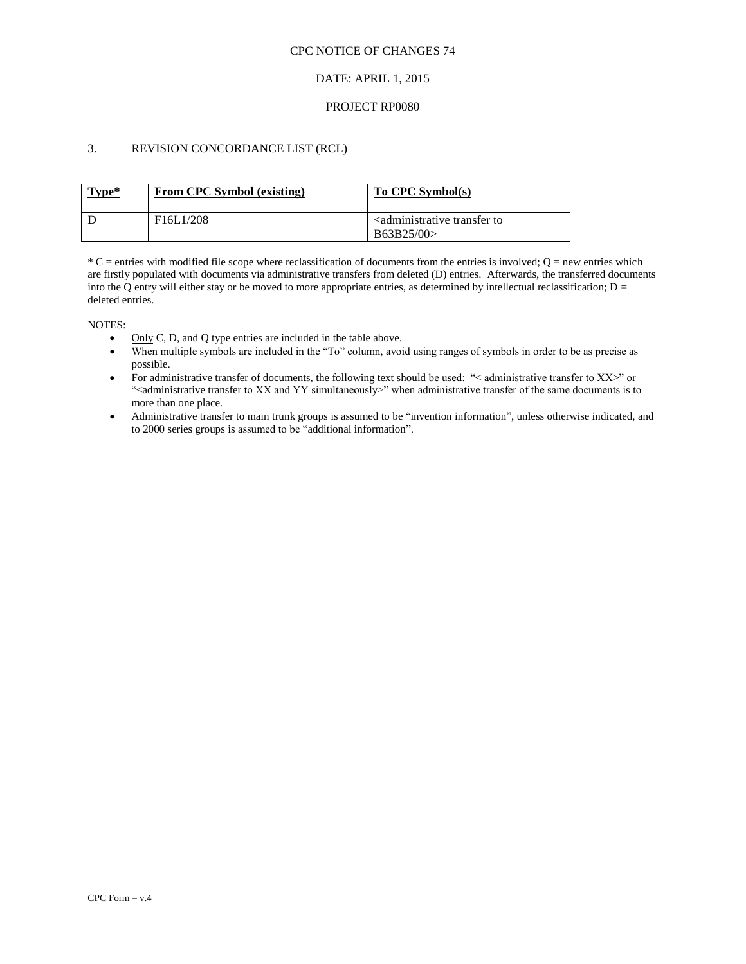### CPC NOTICE OF CHANGES 74

### DATE: APRIL 1, 2015

### PROJECT RP0080

## 3. REVISION CONCORDANCE LIST (RCL)

| Type* | From CPC Symbol (existing)          | To CPC Symbol(s)                                                    |
|-------|-------------------------------------|---------------------------------------------------------------------|
|       | F <sub>16</sub> L <sub>1</sub> /208 | <administrative to<br="" transfer="">B63B25/00&gt;</administrative> |

 $*C$  = entries with modified file scope where reclassification of documents from the entries is involved;  $Q$  = new entries which are firstly populated with documents via administrative transfers from deleted (D) entries. Afterwards, the transferred documents into the Q entry will either stay or be moved to more appropriate entries, as determined by intellectual reclassification;  $D =$ deleted entries.

NOTES:

- $\bullet$  Only C, D, and Q type entries are included in the table above.
- When multiple symbols are included in the "To" column, avoid using ranges of symbols in order to be as precise as possible.
- For administrative transfer of documents, the following text should be used: "< administrative transfer to XX>" or ">
"<administrative transfer to XX and YY simultaneously>" when administrative transfer of the same documents is to more than one place.
- Administrative transfer to main trunk groups is assumed to be "invention information", unless otherwise indicated, and to 2000 series groups is assumed to be "additional information".